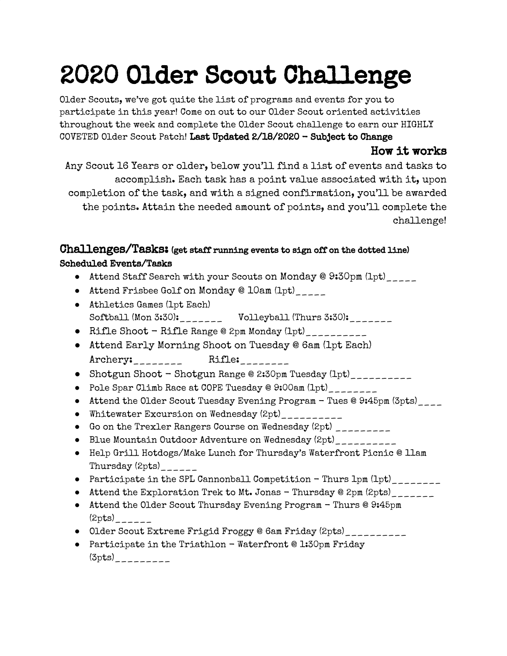## 2020 Older Scout Challenge

Older Scouts, we've got quite the list of programs and events for you to participate in this year! Come on out to our Older Scout oriented activities throughout the week and complete the Older Scout challenge to earn our HIGHLY COVETED Older Scout Patch! Last Updated 2/18/2020 - Subject to Change

## How it works

Any Scout 16 Years or older, below you'll find a list of events and tasks to accomplish. Each task has a point value associated with it, upon completion of the task, and with a signed confirmation, you'll be awarded the points. Attain the needed amount of points, and you'll complete the challenge!

## Challenges/Tasks: (get staff running events to sign off on the dotted line) Scheduled Events/Tasks

- Attend Staff Search with your Scouts on Monday @ 9:30pm (1pt)
- Attend Frisbee Golf on Monday @ 10am (1pt)\_\_\_\_\_
- Athletics Games (1pt Each) Softball (Mon 3:30): \_\_\_\_\_\_\_ Volleyball (Thurs 3:30): \_\_\_\_\_\_\_
- Rifle Shoot Rifle Range @ 2pm Monday (1pt)\_\_\_\_\_\_\_\_\_\_
- Attend Early Morning Shoot on Tuesday @ 6am (1pt Each) Archery: \_\_\_\_\_\_\_\_ Rifle: \_\_\_\_\_\_\_\_
- Shotgun Shoot Shotgun Range @ 2:30pm Tuesday (1pt)
- Pole Spar Climb Race at COPE Tuesday @ 9:00am (1pt)\_\_\_\_\_\_\_\_
- Attend the Older Scout Tuesday Evening Program Tues @ 9:45pm (3pts)
- Whitewater Excursion on Wednesday (2pt)\_\_\_\_\_\_\_\_\_\_
- Go on the Trexler Rangers Course on Wednesday (2pt) \_\_\_\_\_\_\_\_\_
- Blue Mountain Outdoor Adventure on Wednesday (2pt)\_\_\_\_\_\_\_\_\_\_
- Help Grill Hotdogs/Make Lunch for Thursday's Waterfront Picnic @ 11am Thursday  $(2pts)$ <sub>\_\_\_\_\_\_</sub>
- Participate in the SPL Cannonball Competition Thurs 1pm (1pt)
- Attend the Exploration Trek to Mt. Jonas Thursday @ 2pm (2pts)
- Attend the Older Scout Thursday Evening Program Thurs @ 9:45pm  $(2pts)$ <sub>\_\_\_\_\_\_</sub>
- Older Scout Extreme Frigid Froggy @ 6am Friday (2pts)\_\_\_\_\_\_\_\_\_\_\_
- Participate in the Triathlon Waterfront @ 1:30pm Friday  $(3pts)$ <sub>\_\_\_\_\_\_\_\_\_\_</sub>